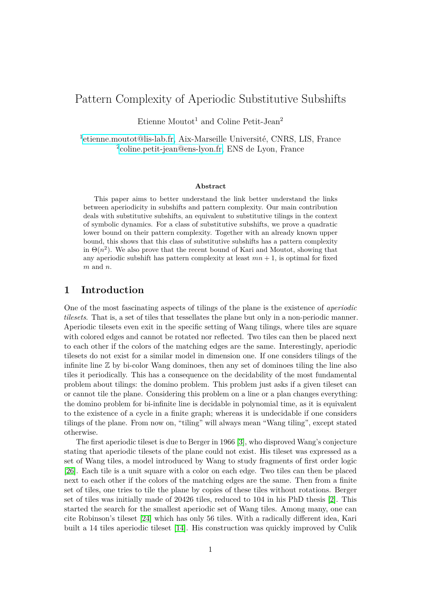# Pattern Complexity of Aperiodic Substitutive Subshifts

Etienne Moutot<sup>1</sup> and Coline Petit-Jean<sup>2</sup>

<sup>1</sup>[etienne.moutot@lis-lab.fr,](mailto:etienne.moutot@lis-lab.fr) Aix-Marseille Université, CNRS, LIS, France 2 [coline.petit-jean@ens-lyon.fr,](mailto:coline.petit-jean@ens-lyon.fr) ENS de Lyon, France

#### **Abstract**

This paper aims to better understand the link better understand the links between aperiodicity in subshifts and pattern complexity. Our main contribution deals with substitutive subshifts, an equivalent to substitutive tilings in the context of symbolic dynamics. For a class of substitutive subshifts, we prove a quadratic lower bound on their pattern complexity. Together with an already known upper bound, this shows that this class of substitutive subshifts has a pattern complexity in  $\Theta(n^2)$ . We also prove that the recent bound of Kari and Moutot, showing that any aperiodic subshift has pattern complexity at least  $mn + 1$ , is optimal for fixed *m* and *n*.

# **1 Introduction**

One of the most fascinating aspects of tilings of the plane is the existence of *aperiodic tilesets*. That is, a set of tiles that tessellates the plane but only in a non-periodic manner. Aperiodic tilesets even exit in the specific setting of Wang tilings, where tiles are square with colored edges and cannot be rotated nor reflected. Two tiles can then be placed next to each other if the colors of the matching edges are the same. Interestingly, aperiodic tilesets do not exist for a similar model in dimension one. If one considers tilings of the infinite line  $\mathbb Z$  by bi-color Wang dominoes, then any set of dominoes tiling the line also tiles it periodically. This has a consequence on the decidability of the most fundamental problem about tilings: the domino problem. This problem just asks if a given tileset can or cannot tile the plane. Considering this problem on a line or a plan changes everything: the domino problem for bi-infinite line is decidable in polynomial time, as it is equivalent to the existence of a cycle in a finite graph; whereas it is undecidable if one considers tilings of the plane. From now on, "tiling" will always mean "Wang tiling", except stated otherwise.

The first aperiodic tileset is due to Berger in 1966 [\[3\]](#page-13-0), who disproved Wang's conjecture stating that aperiodic tilesets of the plane could not exist. His tileset was expressed as a set of Wang tiles, a model introduced by Wang to study fragments of first order logic [\[26\]](#page-14-0). Each tile is a unit square with a color on each edge. Two tiles can then be placed next to each other if the colors of the matching edges are the same. Then from a finite set of tiles, one tries to tile the plane by copies of these tiles without rotations. Berger set of tiles was initially made of 20426 tiles, reduced to 104 in his PhD thesis [\[2\]](#page-13-1). This started the search for the smallest aperiodic set of Wang tiles. Among many, one can cite Robinson's tileset [\[24\]](#page-14-1) which has only 56 tiles. With a radically different idea, Kari built a 14 tiles aperiodic tileset [\[14\]](#page-13-2). His construction was quickly improved by Culik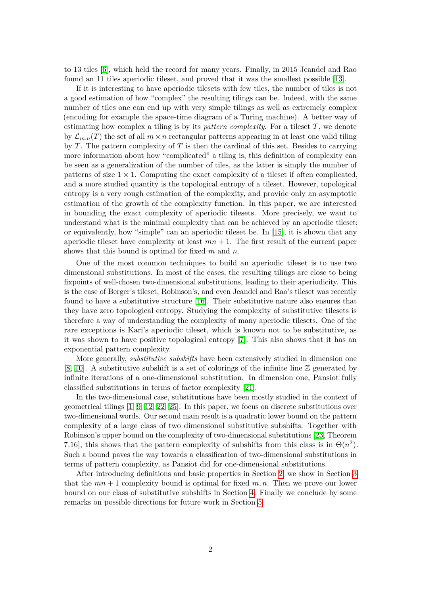to 13 tiles [\[6\]](#page-13-3), which held the record for many years. Finally, in 2015 Jeandel and Rao found an 11 tiles aperiodic tileset, and proved that it was the smallest possible [\[13\]](#page-13-4).

If it is interesting to have aperiodic tilesets with few tiles, the number of tiles is not a good estimation of how "complex" the resulting tilings can be. Indeed, with the same number of tiles one can end up with very simple tilings as well as extremely complex (encoding for example the space-time diagram of a Turing machine). A better way of estimating how complex a tiling is by its *pattern complexity*. For a tileset *T*, we denote by  $\mathcal{L}_{m,n}(T)$  the set of all  $m \times n$  rectangular patterns appearing in at least one valid tiling by *T*. The pattern complexity of *T* is then the cardinal of this set. Besides to carrying more information about how "complicated" a tiling is, this definition of complexity can be seen as a generalization of the number of tiles, as the latter is simply the number of patterns of size  $1 \times 1$ . Computing the exact complexity of a tileset if often complicated, and a more studied quantity is the topological entropy of a tileset. However, topological entropy is a very rough estimation of the complexity, and provide only an asymptotic estimation of the growth of the complexity function. In this paper, we are interested in bounding the exact complexity of aperiodic tilesets. More precisely, we want to understand what is the minimal complexity that can be achieved by an aperiodic tileset; or equivalently, how "simple" can an aperiodic tileset be. In [\[15\]](#page-14-2), it is shown that any aperiodic tileset have complexity at least  $mn + 1$ . The first result of the current paper shows that this bound is optimal for fixed *m* and *n*.

One of the most common techniques to build an aperiodic tileset is to use two dimensional substitutions. In most of the cases, the resulting tilings are close to being fixpoints of well-chosen two-dimensional substitutions, leading to their aperiodicity. This is the case of Berger's tileset, Robinson's, and even Jeandel and Rao's tileset was recently found to have a substitutive structure [\[16\]](#page-14-3). Their substitutive nature also ensures that they have zero topological entropy. Studying the complexity of substitutive tilesets is therefore a way of understanding the complexity of many aperiodic tilesets. One of the rare exceptions is Kari's aperiodic tileset, which is known not to be substitutive, as it was shown to have positive topological entropy [\[7\]](#page-13-5). This also shows that it has an exponential pattern complexity.

More generally, *substitutive subshifts* have been extensively studied in dimension one [\[8,](#page-13-6) [10\]](#page-13-7). A substitutive subshift is a set of colorings of the infinite line  $\mathbb Z$  generated by infinite iterations of a one-dimensional substitution. In dimension one, Pansiot fully classified substitutions in terms of factor complexity [\[21\]](#page-14-4).

In the two-dimensional case, substitutions have been mostly studied in the context of geometrical tilings [\[1,](#page-13-8) [9,](#page-13-9) [12,](#page-13-10) [22,](#page-14-5) [25\]](#page-14-6). In this paper, we focus on discrete substitutions over two-dimensional words. Our second main result is a quadratic lower bound on the pattern complexity of a large class of two dimensional substitutive subshifts. Together with Robinson's upper bound on the complexity of two-dimensional substitutions [\[23,](#page-14-7) Theorem 7.16], this shows that the pattern complexity of subshifts from this class is in  $\Theta(n^2)$ . Such a bound paves the way towards a classification of two-dimensional substitutions in terms of pattern complexity, as Pansiot did for one-dimensional substitutions.

After introducing definitions and basic properties in Section [2,](#page-2-0) we show in Section [3](#page-4-0) that the  $mn + 1$  complexity bound is optimal for fixed  $m, n$ . Then we prove our lower bound on our class of substitutive subshifts in Section [4.](#page-5-0) Finally we conclude by some remarks on possible directions for future work in Section [5.](#page-12-0)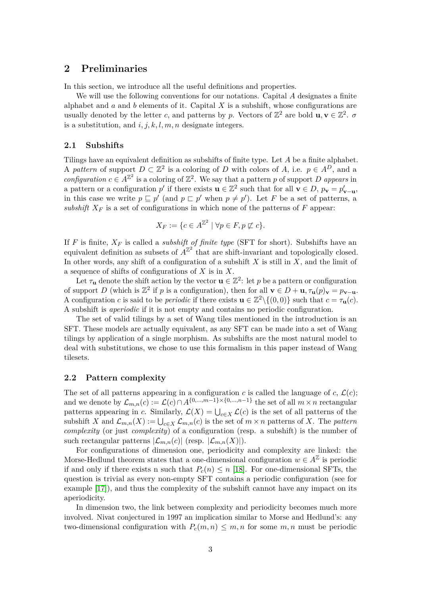# <span id="page-2-0"></span>**2 Preliminaries**

In this section, we introduce all the useful definitions and properties.

We will use the following conventions for our notations. Capital *A* designates a finite alphabet and *a* and *b* elements of it. Capital *X* is a subshift, whose configurations are usually denoted by the letter *c*, and patterns by *p*. Vectors of  $\mathbb{Z}^2$  are bold  $\mathbf{u}, \mathbf{v} \in \mathbb{Z}^2$ .  $\sigma$ is a substitution, and *i, j, k, l, m, n* designate integers.

### **2.1 Subshifts**

Tilings have an equivalent definition as subshifts of finite type. Let *A* be a finite alphabet. A pattern of support  $D \subset \mathbb{Z}^2$  is a coloring of *D* with colors of *A*, i.e.  $p \in A^D$ , and a *configuration*  $c \in A^{\mathbb{Z}^2}$  is a coloring of  $\mathbb{Z}^2$ . We say that a pattern *p* of support *D appears* in a pattern or a configuration  $p'$  if there exists  $\mathbf{u} \in \mathbb{Z}^2$  such that for all  $\mathbf{v} \in D$ ,  $p_{\mathbf{v}} = p'_{\mathbf{v}-\mathbf{u}}$ , in this case we write  $p \sqsubseteq p'$  (and  $p \sqsubset p'$  when  $p \neq p'$ ). Let *F* be a set of patterns, a *subshift*  $X_F$  is a set of configurations in which none of the patterns of F appear:

$$
X_F := \{ c \in A^{\mathbb{Z}^2} \mid \forall p \in F, p \not\sqsubset c \}.
$$

If *F* is finite,  $X_F$  is called a *subshift of finite type* (SFT for short). Subshifts have an equivalent definition as subsets of  $A^{\mathbb{Z}^2}$  that are shift-invariant and topologically closed. In other words, any shift of a configuration of a subshift *X* is still in *X*, and the limit of a sequence of shifts of configurations of *X* is in *X*.

Let  $\tau_{\mathbf{u}}$  denote the shift action by the vector  $\mathbf{u} \in \mathbb{Z}^2$ : let p be a pattern or configuration of support *D* (which is  $\mathbb{Z}^2$  if *p* is a configuration), then for all  $\mathbf{v} \in D + \mathbf{u}$ ,  $\tau_{\mathbf{u}}(p)_{\mathbf{v}} = p_{\mathbf{v}-\mathbf{u}}$ . A configuration *c* is said to be *periodic* if there exists  $\mathbf{u} \in \mathbb{Z}^2 \setminus \{(0,0)\}$  such that  $c = \tau_{\mathbf{u}}(c)$ . A subshift is *aperiodic* if it is not empty and contains no periodic configuration.

The set of valid tilings by a set of Wang tiles mentioned in the introduction is an SFT. These models are actually equivalent, as any SFT can be made into a set of Wang tilings by application of a single morphism. As subshifts are the most natural model to deal with substitutions, we chose to use this formalism in this paper instead of Wang tilesets.

### **2.2 Pattern complexity**

The set of all patterns appearing in a configuration *c* is called the language of *c*,  $\mathcal{L}(c)$ ; and we denote by  $\mathcal{L}_{m,n}(c) := \mathcal{L}(c) \cap A^{\{0,\dots,m-1\} \times \{0,\dots,n-1\}}$  the set of all  $m \times n$  rectangular patterns appearing in *c*. Similarly,  $\mathcal{L}(X) = \bigcup_{c \in X} \mathcal{L}(c)$  is the set of all patterns of the subshift *X* and  $\mathcal{L}_{m,n}(X) := \bigcup_{c \in X} \mathcal{L}_{m,n}(c)$  is the set of  $m \times n$  patterns of *X*. The *pattern complexity* (or just *complexity*) of a configuration (resp. a subshift) is the number of such rectangular patterns  $|\mathcal{L}_{m,n}(c)|$  (resp.  $|\mathcal{L}_{m,n}(X)|$ ).

For configurations of dimension one, periodicity and complexity are linked: the Morse-Hedlund theorem states that a one-dimensional configuration  $w \in A^{\mathbb{Z}}$  is periodic if and only if there exists n such that  $P_c(n) \leq n$  [\[18\]](#page-14-8). For one-dimensional SFTs, the question is trivial as every non-empty SFT contains a periodic configuration (see for example [\[17\]](#page-14-9)), and thus the complexity of the subshift cannot have any impact on its aperiodicity.

In dimension two, the link between complexity and periodicity becomes much more involved. Nivat conjectured in 1997 an implication similar to Morse and Hedlund's: any two-dimensional configuration with  $P_c(m, n) \leq m, n$  for some  $m, n$  must be periodic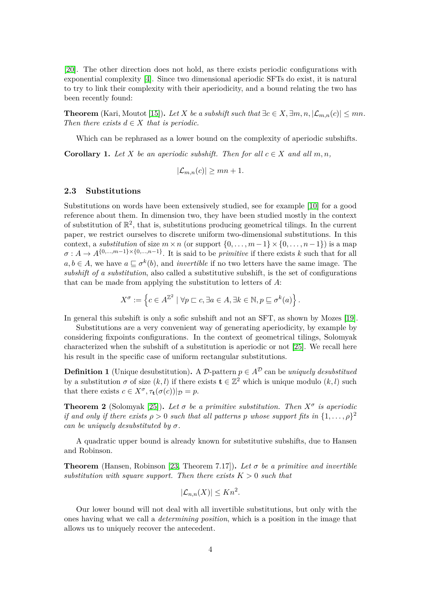[\[20\]](#page-14-10). The other direction does not hold, as there exists periodic configurations with exponential complexity [\[4\]](#page-13-11). Since two dimensional aperiodic SFTs do exist, it is natural to try to link their complexity with their aperiodicity, and a bound relating the two has been recently found:

**Theorem** (Kari, Moutot [\[15\]](#page-14-2)). *Let X be a subshift such that*  $\exists c \in X, \exists m, n, |\mathcal{L}_{m,n}(c)| \leq mn$ . *Then there exists*  $d \in X$  *that is periodic.* 

Which can be rephrased as a lower bound on the complexity of aperiodic subshifts.

<span id="page-3-1"></span>**Corollary 1.** *Let*  $X$  *be an aperiodic subshift. Then for all*  $c \in X$  *and all*  $m, n$ ,

$$
|\mathcal{L}_{m,n}(c)| \geq mn + 1.
$$

### **2.3 Substitutions**

Substitutions on words have been extensively studied, see for example [\[10\]](#page-13-7) for a good reference about them. In dimension two, they have been studied mostly in the context of substitution of  $\mathbb{R}^2$ , that is, substitutions producing geometrical tilings. In the current paper, we restrict ourselves to discrete uniform two-dimensional substitutions. In this context, a *substitution* of size  $m \times n$  (or support  $\{0, \ldots, m-1\} \times \{0, \ldots, n-1\}$ ) is a map  $\sigma: A \to A^{\{0,\ldots,m-1\} \times \{0,\ldots,n-1\}}$ . It is said to be *primitive* if there exists *k* such that for all  $a, b \in A$ , we have  $a \subseteq \sigma^k(b)$ , and *invertible* if no two letters have the same image. The *subshift of a substitution*, also called a substitutive subshift, is the set of configurations that can be made from applying the substitution to letters of *A*:

$$
X^{\sigma} := \left\{ c \in A^{\mathbb{Z}^2} \mid \forall p \sqsubset c, \exists a \in A, \exists k \in \mathbb{N}, p \sqsubseteq \sigma^k(a) \right\}.
$$

In general this subshift is only a sofic subshift and not an SFT, as shown by Mozes [\[19\]](#page-14-11).

Substitutions are a very convenient way of generating aperiodicity, by example by considering fixpoints configurations. In the context of geometrical tilings, Solomyak characterized when the subshift of a substitution is aperiodic or not [\[25\]](#page-14-6). We recall here his result in the specific case of uniform rectangular substitutions.

**Definition 1** (Unique desubstitution)**.** A D-pattern  $p \in A^D$  can be *uniquely desubstitued* by a substitution  $\sigma$  of size  $(k, l)$  if there exists  $\mathbf{t} \in \mathbb{Z}^2$  which is unique modulo  $(k, l)$  such that there exists  $c \in X^{\sigma}, \tau_{\mathbf{t}}(\sigma(c))|_{\mathcal{D}} = p$ .

<span id="page-3-2"></span>**Theorem 2** (Solomyak [\[25\]](#page-14-6)). Let  $\sigma$  be a primitive substitution. Then  $X^{\sigma}$  is aperiodic *if and only if there exists*  $\rho > 0$  *such that all patterns p whose support fits in*  $\{1, \ldots, \rho\}^2$ *can be uniquely desubstituted by σ.*

A quadratic upper bound is already known for substitutive subshifts, due to Hansen and Robinson.

**Theorem** (Hansen, Robinson [\[23,](#page-14-7) Theorem 7.17]). Let  $\sigma$  be a primitive and invertible *substitution with square support. Then there exists*  $K > 0$  *such that* 

$$
|\mathcal{L}_{n,n}(X)| \le Kn^2.
$$

<span id="page-3-0"></span>Our lower bound will not deal with all invertible substitutions, but only with the ones having what we call a *determining position*, which is a position in the image that allows us to uniquely recover the antecedent.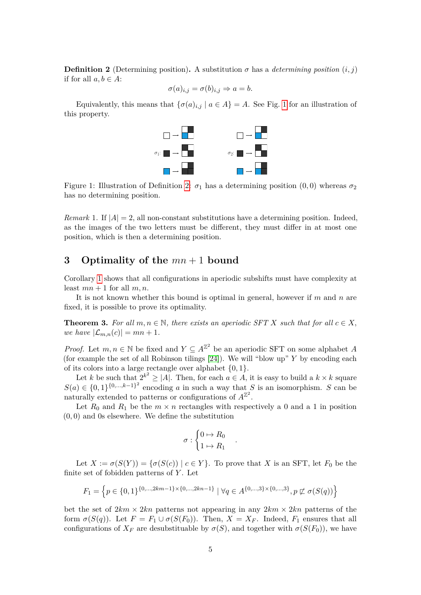**Definition 2** (Determining position). A substitution  $\sigma$  has a *determining position*  $(i, j)$ if for all  $a, b \in A$ :

$$
\sigma(a)_{i,j} = \sigma(b)_{i,j} \Rightarrow a = b.
$$

<span id="page-4-1"></span>Equivalently, this means that  $\{\sigma(a)_{i,j} \mid a \in A\} = A$ . See Fig. [1](#page-4-1) for an illustration of this property.



Figure 1: Illustration of Definition [2:](#page-3-0)  $\sigma_1$  has a determining position (0,0) whereas  $\sigma_2$ has no determining position.

*Remark* 1. If  $|A| = 2$ , all non-constant substitutions have a determining position. Indeed, as the images of the two letters must be different, they must differ in at most one position, which is then a determining position.

# <span id="page-4-0"></span>**3 Optimality of the** *mn* + 1 **bound**

Corollary [1](#page-3-1) shows that all configurations in aperiodic subshifts must have complexity at least  $mn + 1$  for all  $m, n$ .

It is not known whether this bound is optimal in general, however if *m* and *n* are fixed, it is possible to prove its optimality.

<span id="page-4-2"></span>**Theorem 3.** For all  $m, n \in \mathbb{N}$ , there exists an aperiodic SFT X such that for all  $c \in X$ , *we have*  $|\mathcal{L}_{m,n}(c)| = mn + 1$ *.* 

*Proof.* Let  $m, n \in \mathbb{N}$  be fixed and  $Y \subseteq A^{\mathbb{Z}^2}$  be an aperiodic SFT on some alphabet *A* (for example the set of all Robinson tilings [\[24\]](#page-14-1)). We will "blow up" *Y* by encoding each of its colors into a large rectangle over alphabet {0*,* 1}.

Let *k* be such that  $2^{k^2} \ge |A|$ . Then, for each  $a \in A$ , it is easy to build a  $k \times k$  square  $S(a) \in \{0,1\}^{\{0,\ldots,k-1\}^2}$  encoding *a* in such a way that *S* is an isomorphism. *S* can be naturally extended to patterns or configurations of  $A^{\mathbb{Z}^2}$ .

Let  $R_0$  and  $R_1$  be the  $m \times n$  rectangles with respectively a 0 and a 1 in position (0*,* 0) and 0s elsewhere. We define the substitution

$$
\sigma : \begin{cases} 0 \mapsto R_0 \\ 1 \mapsto R_1 \end{cases}
$$

*.*

Let  $X := \sigma(S(Y)) = {\sigma(S(c)) | c \in Y}$ . To prove that *X* is an SFT, let  $F_0$  be the finite set of fobidden patterns of *Y* . Let

$$
F_1 = \left\{ p \in \{0, 1\}^{\{0, \dots, 2km - 1\} \times \{0, \dots, 2kn - 1\}} \mid \forall q \in A^{\{0, \dots, 3\} \times \{0, \dots, 3\}}, p \not\sqsubset \sigma(S(q)) \right\}
$$

bet the set of  $2km \times 2kn$  patterns not appearing in any  $2km \times 2kn$  patterns of the form  $\sigma(S(q))$ . Let  $F = F_1 \cup \sigma(S(F_0))$ . Then,  $X = X_F$ . Indeed,  $F_1$  ensures that all configurations of  $X_F$  are desubstituable by  $\sigma(S)$ , and together with  $\sigma(S(F_0))$ , we have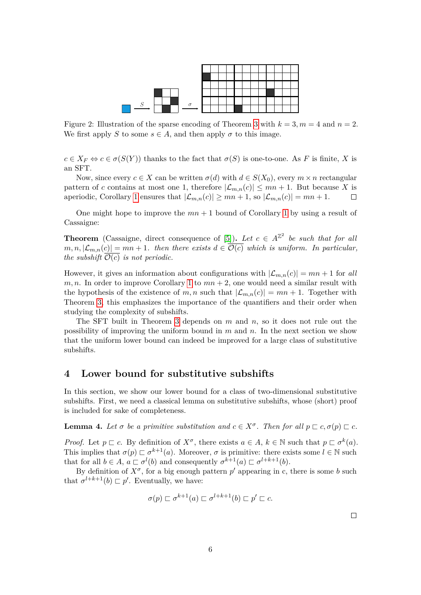

Figure 2: Illustration of the sparse encoding of Theorem [3](#page-4-2) with  $k = 3, m = 4$  and  $n = 2$ . We first apply *S* to some  $s \in A$ , and then apply  $\sigma$  to this image.

 $c \in X_F \Leftrightarrow c \in \sigma(S(Y))$  thanks to the fact that  $\sigma(S)$  is one-to-one. As *F* is finite, *X* is an SFT.

Now, since every  $c \in X$  can be written  $\sigma(d)$  with  $d \in S(X_0)$ , every  $m \times n$  rectangular pattern of *c* contains at most one 1, therefore  $|\mathcal{L}_{m,n}(c)| \leq mn + 1$ . But because *X* is aperiodic, Corollary [1](#page-3-1) ensures that  $|\mathcal{L}_{m,n}(c)| \geq mn + 1$ , so  $|\mathcal{L}_{m,n}(c)| = mn + 1$ .  $\Box$ 

One might hope to improve the  $mn + 1$  $mn + 1$  bound of Corollary 1 by using a result of Cassaigne:

**Theorem** (Cassaigne, direct consequence of [\[5\]](#page-13-12)). Let  $c \in A^{\mathbb{Z}^2}$  be such that for all  $m, n, |\mathcal{L}_{m,n}(c)| = mn + 1$ . then there exists  $d \in \overline{\mathcal{O}(c)}$  which is uniform. In particular, *the subshift*  $\mathcal{O}(c)$  *is not periodic.* 

However, it gives an information about configurations with  $|\mathcal{L}_{m,n}(c)| = mn + 1$  for all  $m, n$ . In order to improve Corollary [1](#page-3-1) to  $mn + 2$ , one would need a similar result with the hypothesis of the existence of m, n such that  $|\mathcal{L}_{m,n}(c)| = mn + 1$ . Together with Theorem [3,](#page-4-2) this emphasizes the importance of the quantifiers and their order when studying the complexity of subshifts.

The SFT built in Theorem [3](#page-4-2) depends on *m* and *n*, so it does not rule out the possibility of improving the uniform bound in *m* and *n*. In the next section we show that the uniform lower bound can indeed be improved for a large class of substitutive subshifts.

### <span id="page-5-0"></span>**4 Lower bound for substitutive subshifts**

In this section, we show our lower bound for a class of two-dimensional substitutive subshifts. First, we need a classical lemma on substitutive subshifts, whose (short) proof is included for sake of completeness.

<span id="page-5-1"></span>**Lemma 4.** Let  $\sigma$  be a primitive substitution and  $c \in X^{\sigma}$ . Then for all  $p \sqsubset c, \sigma(p) \sqsubset c$ .

*Proof.* Let  $p \subset c$ . By definition of  $X^{\sigma}$ , there exists  $a \in A$ ,  $k \in \mathbb{N}$  such that  $p \subset \sigma^k(a)$ . This implies that  $\sigma(p) \subset \sigma^{k+1}(a)$ . Moreover,  $\sigma$  is primitive: there exists some  $l \in \mathbb{N}$  such that for all  $b \in A$ ,  $a \sqsubset \sigma^l(b)$  and consequently  $\sigma^{k+1}(a) \sqsubset \sigma^{l+k+1}(b)$ .

By definition of  $X^{\sigma}$ , for a big enough pattern  $p'$  appearing in c, there is some *b* such that  $\sigma^{l+k+1}(b) \sqsubset p'$ . Eventually, we have:

$$
\sigma(p) \sqsubset \sigma^{k+1}(a) \sqsubset \sigma^{l+k+1}(b) \sqsubset p' \sqsubset c.
$$

 $\Box$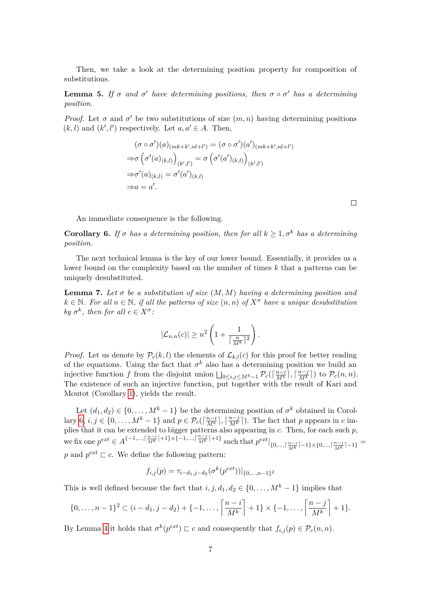Then, we take a look at the determining position property for composition of substitutions.

**Lemma 5.** If  $\sigma$  and  $\sigma'$  have determining positions, then  $\sigma \circ \sigma'$  has a determining *position.*

*Proof.* Let  $\sigma$  and  $\sigma'$  be two substitutions of size  $(m, n)$  having determining positions  $(k, l)$  and  $(k', l')$  respectively. Let  $a, a' \in A$ . Then,

$$
(\sigma \circ \sigma')(a)_{(mk+k',nl+l')} = (\sigma \circ \sigma')(a')_{(mk+k',nl+l')}
$$

$$
\Rightarrow \sigma \left(\sigma'(a)_{(k,l)}\right)_{(k',l')} = \sigma \left(\sigma'(a')_{(k,l)}\right)_{(k',l')}
$$

$$
\Rightarrow \sigma'(a)_{(k,l)} = \sigma'(a')_{(k,l)}
$$

$$
\Rightarrow a = a'.
$$

An immediate consequence is the following.

<span id="page-6-0"></span>**Corollary 6.** *If*  $\sigma$  *has a determining position, then for all*  $k \geq 1, \sigma^k$  *has a determining position.*

The next technical lemma is the key of our lower bound. Essentially, it provides us a lower bound on the complexity based on the number of times *k* that a patterns can be uniquely desubstituted.

<span id="page-6-1"></span>**Lemma 7.** Let  $\sigma$  be a substitution of size  $(M, M)$  having a determining position and  $k \in \mathbb{N}$ . For all  $n \in \mathbb{N}$ , if all the patterns of size  $(n, n)$  of  $X^{\sigma}$  have a unique desubstitution *by*  $\sigma^k$ , then for all  $c \in X^{\sigma}$ :

$$
|\mathcal{L}_{n,n}(c)| \geq n^2 \left(1 + \frac{1}{\lceil \frac{n}{M^k} \rceil^2}\right).
$$

*Proof.* Let us denote by  $\mathcal{P}_c(k, l)$  the elements of  $\mathcal{L}_{k,l}(c)$  for this proof for better reading of the equations. Using the fact that  $\sigma^k$  also has a determining position we build an injective function *f* from the disjoint union  $\bigsqcup_{0 \le i,j \le M^k-1} \mathcal{P}_c(\lceil \frac{n-i}{M^k} \rceil, \lceil \frac{n-j}{M^k} \rceil)$  to  $\mathcal{P}_c(n,n)$ . The existence of such an injective function, put together with the result of Kari and Moutot (Corollary [1\)](#page-3-1), yields the result.

Let  $(d_1, d_2) \in \{0, \ldots, M^k - 1\}$  be the determining position of  $\sigma^k$  obtained in Corol-lary [6,](#page-6-0)  $i, j \in \{0, \ldots, M^k - 1\}$  and  $p \in \mathcal{P}_c(\lceil \frac{n-i}{M^k} \rceil, \lceil \frac{n-j}{M^k} \rceil)$ . The fact that *p* appears in *c* implies that it can be extended to bigger patterns also appearing in *c*. Then, for each such *p*, we fix one  $p^{ext} \in A^{\{-1,\ldots,\lceil\frac{n-i}{M^k}\rceil+1\}\times\{-1,\ldots,\lceil\frac{n-j}{M^k}\rceil+1\}}$  such that  $p^{ext}|_{\{0,\ldots,\lceil\frac{n-i}{M^k}\rceil-1\}\times\{0,\ldots,\lceil\frac{n-j}{M^k}\rceil-1\}}$ p and  $p^{ext} \sqsubset c$ . We define the following pattern:

$$
f_{i,j}(p) = \tau_{i-d_1,j-d_2}(\sigma^k(p^{ext}))|_{\{0,\ldots,n-1\}^2}
$$

This is well defined because the fact that  $i, j, d_1, d_2 \in \{0, \ldots, M^k - 1\}$  implies that

$$
\{0,\ldots,n-1\}^2 \subset (i-d_1,j-d_2)+\{-1,\ldots,\left\lceil\frac{n-i}{M^k}\right\rceil+1\} \times \{-1,\ldots,\left\lceil\frac{n-j}{M^k}\right\rceil+1\}.
$$

By Lemma [4](#page-5-1) it holds that  $\sigma^k(p^{ext}) \sqsubset c$  and consequently that  $f_{i,j}(p) \in \mathcal{P}_c(n,n)$ .

 $\Box$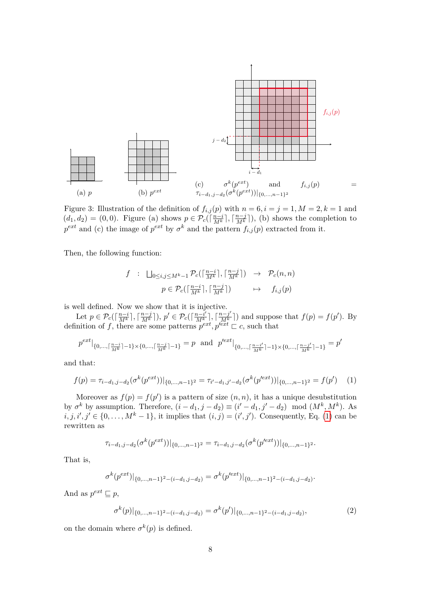

Figure 3: Illustration of the definition of  $f_{i,j}(p)$  with  $n = 6, i = j = 1, M = 2, k = 1$  and  $(d_1, d_2) = (0, 0)$ . Figure (a) shows  $p \in \mathcal{P}_c(\lceil \frac{n-i}{M^k} \rceil, \lceil \frac{n-j}{M^k} \rceil)$ , (b) shows the completion to  $p^{ext}$  and (c) the image of  $p^{ext}$  by  $\sigma^k$  and the pattern  $f_{i,j}(p)$  extracted from it.

Then, the following function:

$$
f : \Box_{0 \le i,j \le M^k-1} \mathcal{P}_c(\lceil \frac{n-i}{M^k} \rceil, \lceil \frac{n-j}{M^k} \rceil) \rightarrow \mathcal{P}_c(n,n)
$$

$$
p \in \mathcal{P}_c(\lceil \frac{n-i}{M^k} \rceil, \lceil \frac{n-j}{M^k} \rceil) \rightarrow f_{i,j}(p)
$$

is well defined. Now we show that it is injective.

Let  $p \in \mathcal{P}_c(\lceil \frac{n-i}{M^k} \rceil, \lceil \frac{n-j}{M^k} \rceil), p' \in \mathcal{P}_c(\lceil \frac{n-i'}{M^k} \rceil, \lceil \frac{n-j'}{M^k} \rceil)$  and suppose that  $f(p) = f(p')$ . By definition of f, there are some patterns  $p^{ext}$ ,  $p^{ext} \sqsubset c$ , such that

<span id="page-7-0"></span>
$$
p^{ext}|_{\{0,\ldots,\lceil\frac{n-i}{M^k}\rceil-1\}\times\{0,\ldots,\lceil\frac{n-j}{M^k}\rceil-1\}}=p\ \ \text{and}\ \ p'^{ext}|_{\{0,\ldots,\lceil\frac{n-i'}{M^k}\rceil-1\}\times\{0,\ldots,\lceil\frac{n-j'}{M^k}\rceil-1\}}=p'
$$

and that:

$$
f(p) = \tau_{i-d_1,j-d_2}(\sigma^k(p^{ext}))|_{\{0,\ldots,n-1\}^2} = \tau_{i'-d_1,j'-d_2}(\sigma^k(p'^{ext}))|_{\{0,\ldots,n-1\}^2} = f(p') \tag{1}
$$

Moreover as  $f(p) = f(p')$  is a pattern of size  $(n, n)$ , it has a unique desubstitution by  $\sigma^k$  by assumption. Therefore,  $(i - d_1, j - d_2) \equiv (i' - d_1, j' - d_2) \mod (M^k, M^k)$ . As  $i, j, i', j' \in \{0, \ldots, M^k - 1\}$ , it implies that  $(i, j) = (i', j')$ . Consequently, Eq. [\(1\)](#page-7-0) can be rewritten as

$$
\tau_{i-d_1,j-d_2}(\sigma^k(p^{ext}))|_{\{0,\ldots,n-1\}^2} = \tau_{i-d_1,j-d_2}(\sigma^k(p'^{ext}))|_{\{0,\ldots,n-1\}^2}.
$$

That is,

$$
\sigma^{k}(p^{ext})|_{\{0,\ldots,n-1\}^2-(i-d_1,j-d_2)} = \sigma^{k}(p'^{ext})|_{\{0,\ldots,n-1\}^2-(i-d_1,j-d_2)}.
$$

And as  $p^{ext} \sqsubseteq p$ ,

<span id="page-7-1"></span>
$$
\sigma^k(p)|_{\{0,\ldots,n-1\}^2-(i-d_1,j-d_2)} = \sigma^k(p')|_{\{0,\ldots,n-1\}^2-(i-d_1,j-d_2)},\tag{2}
$$

on the domain where  $\sigma^k(p)$  is defined.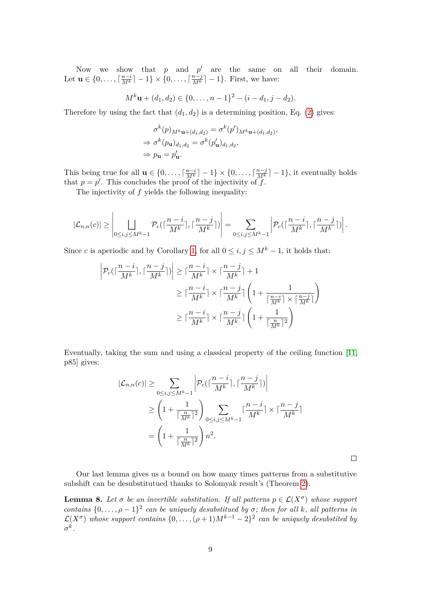Now we show that  $p$  and  $p'$  are the same on all their domain. Let  $\mathbf{u} \in \{0, ..., \lceil \frac{n-i}{M^k} \rceil - 1\} \times \{0, ..., \lceil \frac{n-j}{M^k} \rceil - 1\}$ . First, we have:

$$
M^k \mathbf{u} + (d_1, d_2) \in \{0, \ldots, n-1\}^2 - (i - d_1, j - d_2).
$$

Therefore by using the fact that  $(d_1, d_2)$  is a determining position, Eq. [\(2\)](#page-7-1) gives:

$$
\sigma^k(p)_{M^k \mathbf{u} + (d_1, d_2)} = \sigma^k(p')_{M^k \mathbf{u} + (d_1, d_2)},
$$
  
\n
$$
\Rightarrow \sigma^k(p_\mathbf{u})_{d_1, d_2} = \sigma^k(p'_\mathbf{u})_{d_1, d_2},
$$
  
\n
$$
\Rightarrow p_\mathbf{u} = p'_\mathbf{u}.
$$

This being true for all  $\mathbf{u} \in \{0, \ldots, \lceil \frac{n-i}{M^k} \rceil - 1\} \times \{0, \ldots, \lceil \frac{n-j}{M^k} \rceil - 1\}$ , it eventually holds that  $p = p'$ . This concludes the proof of the injectivity of  $\ddot{f}$ .

The injectivity of *f* yields the following inequality:

$$
|\mathcal{L}_{n,n}(c)| \geq \left| \bigsqcup_{0 \leq i,j \leq M^{k}-1} \mathcal{P}_c(\lceil \frac{n-i}{M^k} \rceil, \lceil \frac{n-j}{M^k} \rceil) \right| = \sum_{0 \leq i,j \leq M^{k}-1} \left| \mathcal{P}_c(\lceil \frac{n-i}{M^k} \rceil, \lceil \frac{n-j}{M^k} \rceil) \right|.
$$

Since *c* is aperiodic and by Corollary [1,](#page-3-1) for all  $0 \le i, j \le M^k - 1$ , it holds that:

$$
\begin{split} \left|\mathcal{P}_c(\lceil \frac{n-i}{M^k}\rceil,\lceil \frac{n-j}{M^k}\rceil) \right| &\geq \lceil \frac{n-i}{M^k}\rceil \times \lceil \frac{n-j}{M^k}\rceil + 1 \\ &\geq \lceil \frac{n-i}{M^k}\rceil \times \lceil \frac{n-j}{M^k}\rceil \left(1 + \frac{1}{\lceil \frac{n-i}{M^k}\rceil \times \lceil \frac{n-j}{M^k}\rceil}\right) \\ &\geq \lceil \frac{n-i}{M^k}\rceil \times \lceil \frac{n-j}{M^k}\rceil \left(1 + \frac{1}{\lceil \frac{n}{M^k}\rceil^2}\right) \end{split}
$$

Eventually, taking the sum and using a classical property of the ceiling function [\[11,](#page-13-13) p85] gives:

$$
|\mathcal{L}_{n,n}(c)| \geq \sum_{0 \leq i,j \leq M^{k}-1} \left| \mathcal{P}_c\left(\lceil \frac{n-i}{M^k} \rceil, \lceil \frac{n-j}{M^k} \rceil\right) \right|
$$
  

$$
\geq \left(1 + \frac{1}{\lceil \frac{n}{M^k} \rceil^2} \right) \sum_{0 \leq i,j \leq M^{k}-1} \lceil \frac{n-i}{M^k} \rceil \times \lceil \frac{n-j}{M^k} \rceil
$$
  

$$
= \left(1 + \frac{1}{\lceil \frac{n}{M^k} \rceil^2} \right) n^2.
$$

 $\Box$ 

Our last lemma gives us a bound on how many times patterns from a substitutive subshift can be desubstitutued thanks to Solomyak result's (Theorem [2\)](#page-3-2).

<span id="page-8-0"></span>**Lemma 8.** Let  $\sigma$  be an invertible substitution. If all patterns  $p \in \mathcal{L}(X^{\sigma})$  whose support *contains*  $\{0, \ldots, \rho-1\}^2$  *can be uniquely desubstitued by*  $\sigma$ *; then for all k, all patterns in*  $\mathcal{L}(X^{\sigma})$  whose support contains  $\{0,\ldots,(\rho+1)M^{k-1}-2\}^2$  can be uniquely desubstited by *σ k .*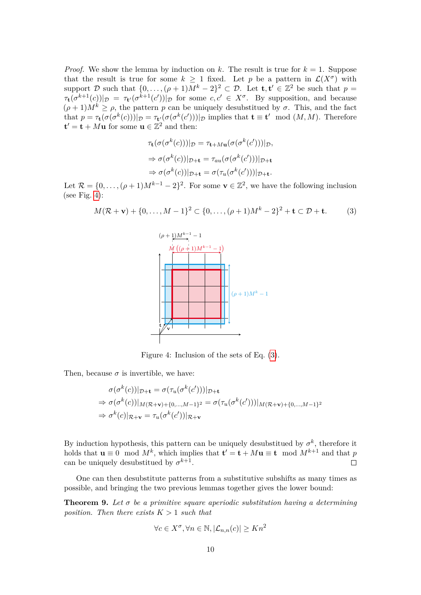*Proof.* We show the lemma by induction on k. The result is true for  $k = 1$ . Suppose that the result is true for some  $k \geq 1$  fixed. Let p be a pattern in  $\mathcal{L}(X^{\sigma})$  with support D such that  $\{0, \ldots, (\rho + 1)M^k - 2\}^2 \subset \mathcal{D}$ . Let  $\mathbf{t}, \mathbf{t}' \in \mathbb{Z}^2$  be such that  $p =$  $\tau_t(\sigma^{k+1}(c))|_{\mathcal{D}} = \tau_{t'}(\sigma^{k+1}(c'))|_{\mathcal{D}}$  for some  $c, c' \in X^{\sigma}$ . By supposition, and because  $(\rho + 1)M^k \ge \rho$ , the pattern *p* can be uniquely desubstitued by  $\sigma$ . This, and the fact that  $p = \tau_{\mathbf{t}}(\sigma(\sigma^k(c)))|_{\mathcal{D}} = \tau_{\mathbf{t}}(\sigma(\sigma^k(c')))|_{\mathcal{D}}$  implies that  $\mathbf{t} \equiv \mathbf{t}' \mod (M, M)$ . Therefore  $\mathbf{t}' = \mathbf{t} + M\mathbf{u}$  for some  $\mathbf{u} \in \mathbb{Z}^2$  and then:

$$
\tau_{\mathbf{t}}(\sigma(\sigma^k(c)))|_{\mathcal{D}} = \tau_{\mathbf{t}+M\mathbf{u}}(\sigma(\sigma^k(c')))|_{\mathcal{D}},
$$
  
\n
$$
\Rightarrow \sigma(\sigma^k(c))|_{\mathcal{D}+\mathbf{t}} = \tau_{au}(\sigma(\sigma^k(c')))|_{\mathcal{D}+\mathbf{t}}
$$
  
\n
$$
\Rightarrow \sigma(\sigma^k(c))|_{\mathcal{D}+\mathbf{t}} = \sigma(\tau_u(\sigma^k(c')))|_{\mathcal{D}+\mathbf{t}}.
$$

Let  $\mathcal{R} = \{0, \ldots, (\rho+1)M^{k-1} - 2\}^2$ . For some  $\mathbf{v} \in \mathbb{Z}^2$ , we have the following inclusion (see Fig. [4\)](#page-9-0):

<span id="page-9-1"></span><span id="page-9-0"></span>
$$
M(\mathcal{R} + \mathbf{v}) + \{0, \dots, M - 1\}^2 \subset \{0, \dots, (\rho + 1)M^k - 2\}^2 + \mathbf{t} \subset \mathcal{D} + \mathbf{t}.\tag{3}
$$



Figure 4: Inclusion of the sets of Eq. [\(3\)](#page-9-1).

Then, because  $\sigma$  is invertible, we have:

$$
\sigma(\sigma^k(c))|_{\mathcal{D}+\mathbf{t}} = \sigma(\tau_u(\sigma^k(c')))|_{\mathcal{D}+\mathbf{t}}
$$
  
\n
$$
\Rightarrow \sigma(\sigma^k(c))|_{M(\mathcal{R}+\mathbf{v})+\{0,\dots,M-1\}^2} = \sigma(\tau_u(\sigma^k(c')))|_{M(\mathcal{R}+\mathbf{v})+\{0,\dots,M-1\}^2}
$$
  
\n
$$
\Rightarrow \sigma^k(c)|_{\mathcal{R}+\mathbf{v}} = \tau_u(\sigma^k(c'))|_{\mathcal{R}+\mathbf{v}}
$$

By induction hypothesis, this pattern can be uniquely desubstitued by  $\sigma^k$ , therefore it holds that  $\mathbf{u} \equiv 0 \mod M^k$ , which implies that  $\mathbf{t}' = \mathbf{t} + M\mathbf{u} \equiv \mathbf{t} \mod M^{k+1}$  and that p can be uniquely desubstitued by  $\sigma^{k+1}$ .  $\Box$ 

One can then desubstitute patterns from a substitutive subshifts as many times as possible, and bringing the two previous lemmas together gives the lower bound:

<span id="page-9-2"></span>**Theorem 9.** *Let σ be a primitive square aperiodic substitution having a determining position. Then there exists*  $K > 1$  *such that* 

$$
\forall c \in X^{\sigma}, \forall n \in \mathbb{N}, |\mathcal{L}_{n,n}(c)| \ge Kn^2
$$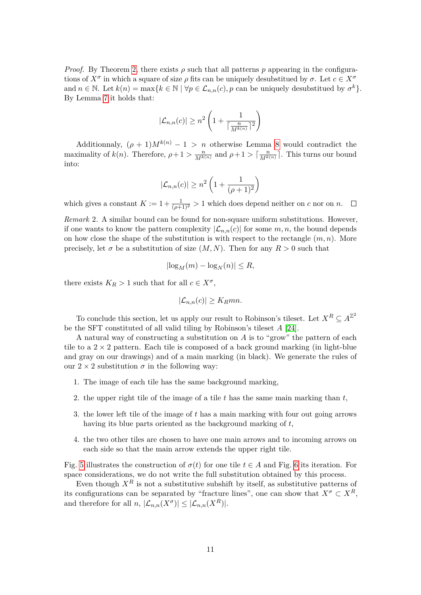*Proof.* By Theorem [2,](#page-3-2) there exists  $\rho$  such that all patterns  $p$  appearing in the configurations of  $X^{\sigma}$  in which a square of size  $\rho$  fits can be uniquely desubstitued by  $\sigma$ . Let  $c \in X^{\sigma}$ and  $n \in \mathbb{N}$ . Let  $k(n) = \max\{k \in \mathbb{N} \mid \forall p \in \mathcal{L}_{n,n}(c), p$  can be uniquely desubstitued by  $\sigma^k\}.$ By Lemma [7](#page-6-1) it holds that:

$$
|\mathcal{L}_{n,n}(c)| \geq n^2 \left(1 + \frac{1}{\lceil \frac{n}{M^{k(n)}} \rceil^2} \right)
$$

Additionnaly,  $(\rho + 1)M^{k(n)} - 1 > n$  otherwise Lemma [8](#page-8-0) would contradict the maximality of  $k(n)$ . Therefore,  $\rho + 1 > \frac{n}{M^{k(n)}}$  and  $\rho + 1 > \lceil \frac{n}{M^{k(n)}} \rceil$ . This turns our bound into:

$$
|\mathcal{L}_{n,n}(c)| \ge n^2 \left(1 + \frac{1}{(\rho+1)^2}\right)
$$

which gives a constant  $K := 1 + \frac{1}{(\rho+1)^2} > 1$  which does depend neither on *c* nor on *n*.

*Remark* 2*.* A similar bound can be found for non-square uniform substitutions. However, if one wants to know the pattern complexity  $|\mathcal{L}_{n,n}(c)|$  for some  $m, n$ , the bound depends on how close the shape of the substitution is with respect to the rectangle  $(m, n)$ . More precisely, let  $\sigma$  be a substitution of size  $(M, N)$ . Then for any  $R > 0$  such that

$$
\left|\log_M(m) - \log_N(n)\right| \le R,
$$

there exists  $K_R > 1$  such that for all  $c \in X^{\sigma}$ ,

$$
|\mathcal{L}_{n,n}(c)| \geq K_R mn.
$$

To conclude this section, let us apply our result to Robinson's tileset. Let  $X^R \subseteq A^{\mathbb{Z}^2}$ be the SFT constituted of all valid tiling by Robinson's tileset *A* [\[24\]](#page-14-1).

A natural way of constructing a substitution on *A* is to "grow" the pattern of each tile to a  $2 \times 2$  pattern. Each tile is composed of a back ground marking (in light-blue and gray on our drawings) and of a main marking (in black). We generate the rules of our  $2 \times 2$  substitution  $\sigma$  in the following way:

- 1. The image of each tile has the same background marking,
- 2. the upper right tile of the image of a tile *t* has the same main marking than *t*,
- 3. the lower left tile of the image of *t* has a main marking with four out going arrows having its blue parts oriented as the background marking of *t*,
- 4. the two other tiles are chosen to have one main arrows and to incoming arrows on each side so that the main arrow extends the upper right tile.

Fig. [5](#page-11-0) illustrates the construction of  $\sigma(t)$  for one tile  $t \in A$  and Fig. [6](#page-11-1) its iteration. For space considerations, we do not write the full substitution obtained by this process.

Even though  $X^R$  is not a substitutive subshift by itself, as substitutive patterns of its configurations can be separated by "fracture lines", one can show that  $X^{\sigma} \subset X^{R}$ , and therefore for all *n*,  $|\mathcal{L}_{n,n}(X^{\sigma})| \leq |\mathcal{L}_{n,n}(X^R)|$ .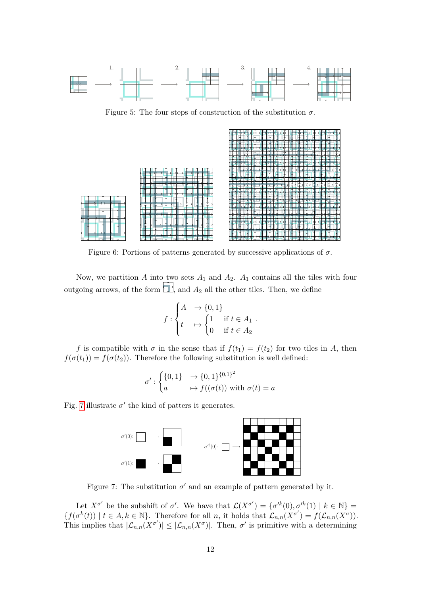<span id="page-11-0"></span>

Figure 5: The four steps of construction of the substitution  $\sigma$ .

<span id="page-11-1"></span>

Figure 6: Portions of patterns generated by successive applications of  $\sigma$ .

Now, we partition *A* into two sets *A*<sup>1</sup> and *A*2. *A*<sup>1</sup> contains all the tiles with four outgoing arrows, of the form  $\Box$ , and  $A_2$  all the other tiles. Then, we define

$$
f: \begin{cases} A & \to \{0,1\} \\ t & \mapsto \begin{cases} 1 & \text{if } t \in A_1 \\ 0 & \text{if } t \in A_2 \end{cases} .\end{cases}
$$

*f* is compatible with  $\sigma$  in the sense that if  $f(t_1) = f(t_2)$  for two tiles in *A*, then  $f(\sigma(t_1)) = f(\sigma(t_2))$ . Therefore the following substitution is well defined:

$$
\sigma' : \begin{cases} \{0,1\} & \to \{0,1\}^{\{0,1\}^2} \\ a & \mapsto f((\sigma(t)) \text{ with } \sigma(t) = a \end{cases}
$$

<span id="page-11-2"></span>Fig. [7](#page-11-2) illustrate  $\sigma'$  the kind of patters it generates.



Figure 7: The substitution  $\sigma'$  and an example of pattern generated by it.

Let  $X^{\sigma'}$  be the subshift of  $\sigma'$ . We have that  $\mathcal{L}(X^{\sigma'}) = {\sigma'^k(0), \sigma'^k(1) | k \in \mathbb{N}}$  $\{f(\sigma^k(t)) \mid t \in A, k \in \mathbb{N}\}.$  Therefore for all *n*, it holds that  $\mathcal{L}_{n,n}(X^{\sigma}) = f(\mathcal{L}_{n,n}(X^{\sigma}))$ . This implies that  $|\mathcal{L}_{n,n}(X^{\sigma})| \leq |\mathcal{L}_{n,n}(X^{\sigma})|$ . Then,  $\sigma'$  is primitive with a determining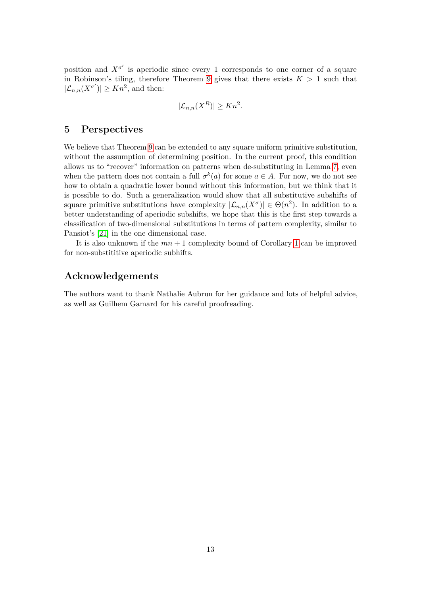position and  $X^{\sigma'}$  is aperiodic since every 1 corresponds to one corner of a square in Robinson's tiling, therefore Theorem [9](#page-9-2) gives that there exists  $K > 1$  such that  $|\mathcal{L}_{n,n}(X^{\sigma'})| \geq Kn^2$ , and then:

$$
|\mathcal{L}_{n,n}(X^R)| \ge Kn^2.
$$

## <span id="page-12-0"></span>**5 Perspectives**

We believe that Theorem [9](#page-9-2) can be extended to any square uniform primitive substitution, without the assumption of determining position. In the current proof, this condition allows us to "recover" information on patterns when de-substituting in Lemma [7,](#page-6-1) even when the pattern does not contain a full  $\sigma^k(a)$  for some  $a \in A$ . For now, we do not see how to obtain a quadratic lower bound without this information, but we think that it is possible to do. Such a generalization would show that all substitutive subshifts of square primitive substitutions have complexity  $|\mathcal{L}_{n,n}(X^{\sigma})| \in \Theta(n^2)$ . In addition to a better understanding of aperiodic subshifts, we hope that this is the first step towards a classification of two-dimensional substitutions in terms of pattern complexity, similar to Pansiot's [\[21\]](#page-14-4) in the one dimensional case.

It is also unknown if the *mn* + 1 complexity bound of Corollary [1](#page-3-1) can be improved for non-substititive aperiodic subhifts.

# **Acknowledgements**

The authors want to thank Nathalie Aubrun for her guidance and lots of helpful advice, as well as Guilhem Gamard for his careful proofreading.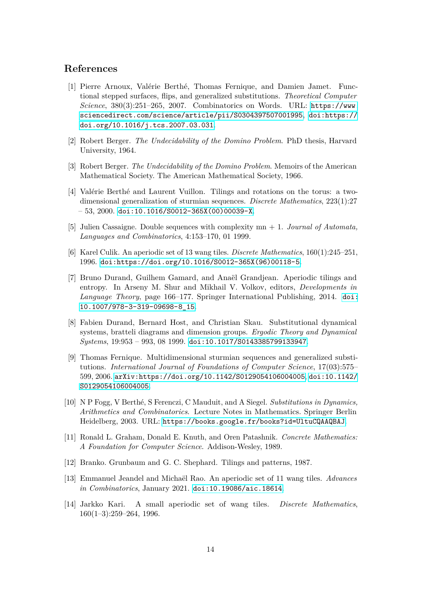### **References**

- <span id="page-13-8"></span>[1] Pierre Arnoux, Valérie Berthé, Thomas Fernique, and Damien Jamet. Functional stepped surfaces, flips, and generalized substitutions. *Theoretical Computer Science*, 380(3):251–265, 2007. Combinatorics on Words. URL: [https://www.](https://www.sciencedirect.com/science/article/pii/S0304397507001995) [sciencedirect.com/science/article/pii/S0304397507001995](https://www.sciencedirect.com/science/article/pii/S0304397507001995), [doi:https://](https://doi.org/https://doi.org/10.1016/j.tcs.2007.03.031) [doi.org/10.1016/j.tcs.2007.03.031](https://doi.org/https://doi.org/10.1016/j.tcs.2007.03.031).
- <span id="page-13-1"></span>[2] Robert Berger. *The Undecidability of the Domino Problem*. PhD thesis, Harvard University, 1964.
- <span id="page-13-0"></span>[3] Robert Berger. *The Undecidability of the Domino Problem*. Memoirs of the American Mathematical Society. The American Mathematical Society, 1966.
- <span id="page-13-11"></span>[4] Valérie Berthé and Laurent Vuillon. Tilings and rotations on the torus: a twodimensional generalization of sturmian sequences. *Discrete Mathematics*, 223(1):27  $-53, 2000.$  [doi:10.1016/S0012-365X\(00\)00039-X](https://doi.org/10.1016/S0012-365X(00)00039-X).
- <span id="page-13-12"></span>[5] Julien Cassaigne. Double sequences with complexity mn + 1. *Journal of Automata, Languages and Combinatorics*, 4:153–170, 01 1999.
- <span id="page-13-3"></span>[6] Karel Culik. An aperiodic set of 13 wang tiles. *Discrete Mathematics*, 160(1):245–251, 1996. [doi:https://doi.org/10.1016/S0012-365X\(96\)00118-5](https://doi.org/https://doi.org/10.1016/S0012-365X(96)00118-5).
- <span id="page-13-5"></span>[7] Bruno Durand, Guilhem Gamard, and Anaël Grandjean. Aperiodic tilings and entropy. In Arseny M. Shur and Mikhail V. Volkov, editors, *Developments in Language Theory*, page 166–177. Springer International Publishing, 2014. [doi:](https://doi.org/10.1007/978-3-319-09698-8_15) [10.1007/978-3-319-09698-8\\_15](https://doi.org/10.1007/978-3-319-09698-8_15).
- <span id="page-13-6"></span>[8] Fabien Durand, Bernard Host, and Christian Skau. Substitutional dynamical systems, bratteli diagrams and dimension groups. *Ergodic Theory and Dynamical Systems*, 19:953 – 993, 08 1999. [doi:10.1017/S0143385799133947](https://doi.org/10.1017/S0143385799133947).
- <span id="page-13-9"></span>[9] Thomas Fernique. Multidimensional sturmian sequences and generalized substitutions. *International Journal of Foundations of Computer Science*, 17(03):575– 599, 2006. [arXiv:https://doi.org/10.1142/S0129054106004005](http://arxiv.org/abs/https://doi.org/10.1142/S0129054106004005), [doi:10.1142/](https://doi.org/10.1142/S0129054106004005) [S0129054106004005](https://doi.org/10.1142/S0129054106004005).
- <span id="page-13-7"></span>[10] N P Fogg, V Berth´e, S Ferenczi, C Mauduit, and A Siegel. *Substitutions in Dynamics, Arithmetics and Combinatorics*. Lecture Notes in Mathematics. Springer Berlin Heidelberg, 2003. URL: <https://books.google.fr/books?id=UltuCQAAQBAJ>.
- <span id="page-13-13"></span>[11] Ronald L. Graham, Donald E. Knuth, and Oren Patashnik. *Concrete Mathematics: A Foundation for Computer Science*. Addison-Wesley, 1989.
- <span id="page-13-10"></span>[12] Branko. Grunbaum and G. C. Shephard. Tilings and patterns, 1987.
- <span id="page-13-4"></span>[13] Emmanuel Jeandel and Micha¨el Rao. An aperiodic set of 11 wang tiles. *Advances in Combinatorics*, January 2021. [doi:10.19086/aic.18614](https://doi.org/10.19086/aic.18614).
- <span id="page-13-2"></span>[14] Jarkko Kari. A small aperiodic set of wang tiles. *Discrete Mathematics*, 160(1–3):259–264, 1996.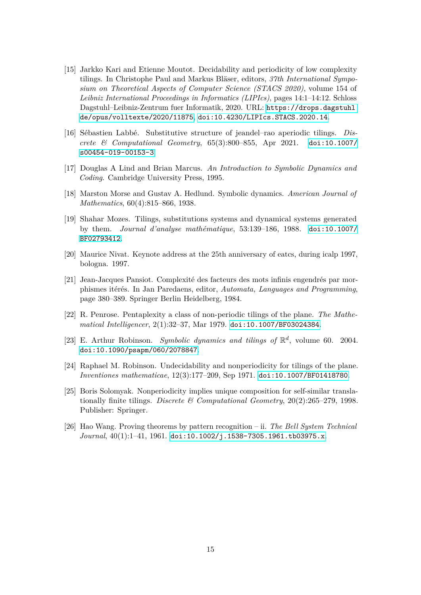- <span id="page-14-2"></span>[15] Jarkko Kari and Etienne Moutot. Decidability and periodicity of low complexity tilings. In Christophe Paul and Markus Bläser, editors, 37th International Sympo*sium on Theoretical Aspects of Computer Science (STACS 2020)*, volume 154 of *Leibniz International Proceedings in Informatics (LIPIcs)*, pages 14:1–14:12. Schloss Dagstuhl–Leibniz-Zentrum fuer Informatik, 2020. URL: [https://drops.dagstuhl.](https://drops.dagstuhl.de/opus/volltexte/2020/11875) [de/opus/volltexte/2020/11875](https://drops.dagstuhl.de/opus/volltexte/2020/11875), [doi:10.4230/LIPIcs.STACS.2020.14](https://doi.org/10.4230/LIPIcs.STACS.2020.14).
- <span id="page-14-3"></span>[16] S´ebastien Labb´e. Substitutive structure of jeandel–rao aperiodic tilings. *Discrete & Computational Geometry*, 65(3):800–855, Apr 2021. [doi:10.1007/](https://doi.org/10.1007/s00454-019-00153-3) [s00454-019-00153-3](https://doi.org/10.1007/s00454-019-00153-3).
- <span id="page-14-9"></span>[17] Douglas A Lind and Brian Marcus. *An Introduction to Symbolic Dynamics and Coding*. Cambridge University Press, 1995.
- <span id="page-14-8"></span>[18] Marston Morse and Gustav A. Hedlund. Symbolic dynamics. *American Journal of Mathematics*, 60(4):815–866, 1938.
- <span id="page-14-11"></span>[19] Shahar Mozes. Tilings, substitutions systems and dynamical systems generated by them. *Journal d'analyse math´ematique*, 53:139–186, 1988. [doi:10.1007/](https://doi.org/10.1007/BF02793412) [BF02793412](https://doi.org/10.1007/BF02793412).
- <span id="page-14-10"></span>[20] Maurice Nivat. Keynote address at the 25th anniversary of eatcs, during icalp 1997, bologna. 1997.
- <span id="page-14-4"></span>[21] Jean-Jacques Pansiot. Complexité des facteurs des mots infinis engendrés par morphismes itérés. In Jan Paredaens, editor, *Automata, Languages and Programming*, page 380–389. Springer Berlin Heidelberg, 1984.
- <span id="page-14-5"></span>[22] R. Penrose. Pentaplexity a class of non-periodic tilings of the plane. *The Mathematical Intelligencer*, 2(1):32–37, Mar 1979. [doi:10.1007/BF03024384](https://doi.org/10.1007/BF03024384).
- <span id="page-14-7"></span>[23] E. Arthur Robinson. *Symbolic dynamics and tilings of*  $\mathbb{R}^d$ , volume 60. 2004. [doi:10.1090/psapm/060/2078847](https://doi.org/10.1090/psapm/060/2078847).
- <span id="page-14-1"></span>[24] Raphael M. Robinson. Undecidability and nonperiodicity for tilings of the plane. *Inventiones mathematicae*, 12(3):177–209, Sep 1971. [doi:10.1007/BF01418780](https://doi.org/10.1007/BF01418780).
- <span id="page-14-6"></span>[25] Boris Solomyak. Nonperiodicity implies unique composition for self-similar translationally finite tilings. *Discrete & Computational Geometry*, 20(2):265–279, 1998. Publisher: Springer.
- <span id="page-14-0"></span>[26] Hao Wang. Proving theorems by pattern recognition – ii. *The Bell System Technical Journal*, 40(1):1–41, 1961. [doi:10.1002/j.1538-7305.1961.tb03975.x](https://doi.org/10.1002/j.1538-7305.1961.tb03975.x).